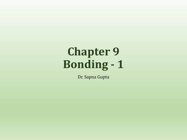# **Chapter 9 Bonding - 1**

Dr. Sapna Gupta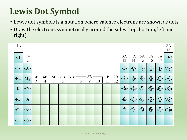## **Lewis Dot Symbol**

- Lewis dot symbols is a notation where valence electrons are shown as dots.
- Draw the electrons symmetrically around the sides (top, bottom, left and right)

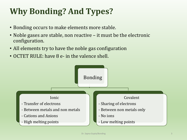## **Why Bonding? And Types?**

- Bonding occurs to make elements more stable.
- Noble gases are stable, non reactive it must be the electronic configuration.
- All elements try to have the noble gas configuration
- OCTET RULE: have 8 e- in the valence shell.

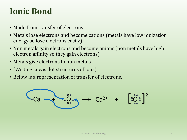### **Ionic Bond**

- Made from transfer of electrons
- Metals lose electrons and become cations (metals have low ionization energy so lose electrons easily)
- Non metals gain electrons and become anions (non metals have high electron affinity so they gain electrons)
- Metals give electrons to non metals
- (Writing Lewis dot structures of ions)
- Below is a representation of transfer of electrons.

$$
Ca \longrightarrow \overset{\circ}{\mathcal{O}} \overset{\circ}{\longrightarrow} Ca^{2+} + [ \overset{\circ}{\mathcal{O}} \overset{\circ}{\mathcal{O}} \overset{\circ}{\mathcal{O}} ]^{2-}
$$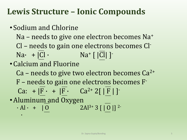### **Lewis Structure – Ionic Compounds**

- Sodium and Chlorine Na – needs to give one electron becomes Na<sup>+</sup> Cl – needs to gain one electrons becomes Cl- $\text{Na} \cdot + |\text{Cl} \cdot \text{Na}^+ | |\overline{\text{Cl}}| ]$ •Calcium and Fluorine  $Ca$  – needs to give two electron becomes  $Ca^{2+}$ F – needs to gain one electrons becomes F-Ca: +  $|F \cdot |F \cdot C a^{2+} 2[ |F| ]$
- Aluminum and Oxygen
	- $\cdot$  Al  $\cdot$  +  $\begin{bmatrix} 0 \\ 2A^{3+}3 \end{bmatrix}$  | 0 | | 2-·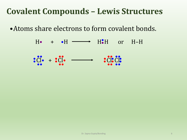### **Covalent Compounds – Lewis Structures**

•Atoms share electrons to form covalent bonds.

 $H\bullet$  +  $\bullet H \longrightarrow H\bullet$ H:H or H-H Cl•  $\mathbf{e}$ ••  $\overline{\text{Cl}}\bullet + \bullet$  $\overline{C_1}$ ••  $\dot{\bullet}$ Cl $\bullet$  +  $\dot{\bullet}$ Cl $\bullet$   $\longrightarrow$   $\bullet$   $\dot{\bullet}$ Cl •• •• • Cle • Cl •• ••••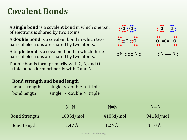### **Covalent Bonds**

A **single bond** is a covalent bond in which one pair of electrons is shared by two atoms.

A **double bond** is a covalent bond in which two pairs of electrons are shared by two atoms.

A **triple bond** is a covalent bond in which three pairs of electrons are shared by two atoms.

Double bonds form primarily with C, N, and O. Triple bonds form primarily with C and N.

#### **Bond strength and bond length**

| bond strength |  | single $\lt$ double $\lt$ triple |  |
|---------------|--|----------------------------------|--|
| bond length   |  | single $>$ double $>$ triple     |  |

|                      | $N-N$                | $N=N$                | $N \equiv N$     |
|----------------------|----------------------|----------------------|------------------|
| <b>Bond Strength</b> | $163 \text{ kJ/mol}$ | $418 \text{ kJ/mol}$ | $941$ kJ/mol     |
| <b>Bond Length</b>   | $1.47 \text{ Å}$     | $1.24\,\mathrm{\AA}$ | $1.10 \text{ Å}$ |

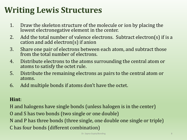### **Writing Lewis Structures**

- 1. Draw the skeleton structure of the molecule or ion by placing the lowest electronegative element in the center.
- 2. Add the total number of valence electrons. Subtract electron(s) if is a cation and add electron(s) if anion
- 3. Share one pair of electrons between each atom, and subtract those from the total number of electrons.
- 4. Distribute electrons to the atoms surrounding the central atom or atoms to satisfy the octet rule.
- 5. Distribute the remaining electrons as pairs to the central atom or atoms.
- 6. Add multiple bonds if atoms don't have the octet.

### **Hint**:

H and halogens have single bonds (unless halogen is in the center) O and S has two bonds (two single or one double) N and P has three bonds (three single, one double one single or triple) C has four bonds (different combination)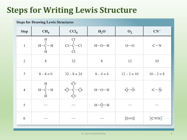### **Steps for Writing Lewis Structure**

#### **Steps for Drawing Lewis Structures**

| <b>Step</b>    | CH <sub>4</sub>                                       | $CCl_4$                                       | H <sub>2</sub> O | O <sub>2</sub>                     | $CN^-$                   |
|----------------|-------------------------------------------------------|-----------------------------------------------|------------------|------------------------------------|--------------------------|
| $\,1\,$        | $\begin{array}{c}\nH \\ H - C \\ H \\ H\n\end{array}$ | $\frac{C1}{1}$<br>$Cl-\dot{C}$ - $Cl$<br>$Cl$ | $H$ -O-H         | $O-O$                              | $C-N$                    |
| $\overline{2}$ | 8                                                     | 32                                            | 8                | 12                                 | 10                       |
| $\mathfrak{Z}$ | $8 - 8 = 0$                                           | $32 - 8 = 24$                                 | $8 - 4 = 4$      | $12 - 2 = 10$                      | $10 - 2 = 8$             |
| $\overline{4}$ | $\begin{array}{c}\nH \\ H - C \\ H \\ H\n\end{array}$ | $\ddot{C}$ :<br>:Čl—Č—Čl:<br>:Čl:             | $H$ -O-H         | $\ddot{Q} - \ddot{Q}$              | $:C-\ddot{N}$ :          |
| 5              |                                                       |                                               | $H-\ddot{Q}-H$   |                                    |                          |
| 6              |                                                       |                                               |                  | $\therefore$ $\dot{Q} = \dot{Q}$ : | $[$ :C $\equiv$ N: $]$ . |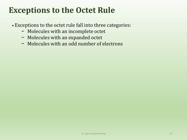### **Exceptions to the Octet Rule**

- Exceptions to the octet rule fall into three categories:
	- − Molecules with an incomplete octet
	- − Molecules with an expanded octet
	- − Molecules with an odd number of electrons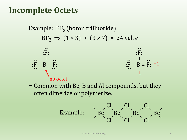### **Incomplete Octets**

Example:  $BF_3$  (boron trifluoride)  $BF_3 \implies (1 \times 3) + (3 \times 7) = 24$  val. *e* 



− Common with Be, B and Al compounds, but they often dimerize or polymerize.

Example: 
$$
\left\{\n \begin{array}{c}\n \text{Cl} & \text{Cl} \\
 \text{Be} & \text{Be} \\
 \text{Cl} & \text{Cl}\n \end{array}\n \right\}
$$

\nEq. Bé.  $\left\{\n \begin{array}{c}\n \text{Cl} & \text{Cl} \\
 \text{Be} & \text{Cl}\n \end{array}\n \right\}$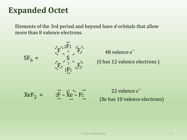### **Expanded Octet**

Elements of the 3rd period and beyond have *d*-orbitals that allow more than 8 valence electrons.



(S has 12 valence electrons ) 48 valence *e*



(Xe has 10 valence electrons) 22 valence *e*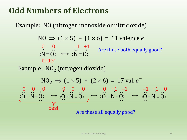### **Odd Numbers of Electrons**

Example: NO (nitrogen monoxide or nitric oxide)

$$
NO \implies (1 \times 5) + (1 \times 6) = 11 \text{ valence } e^-
$$
  
\n
$$
0 \quad 0 \quad -1 \quad +1
$$
  
\n∴ N = 0:  $\longrightarrow$  : N = 0:  
\n
$$
better
$$

Example: NO<sub>2</sub> (nitrogen dioxide)